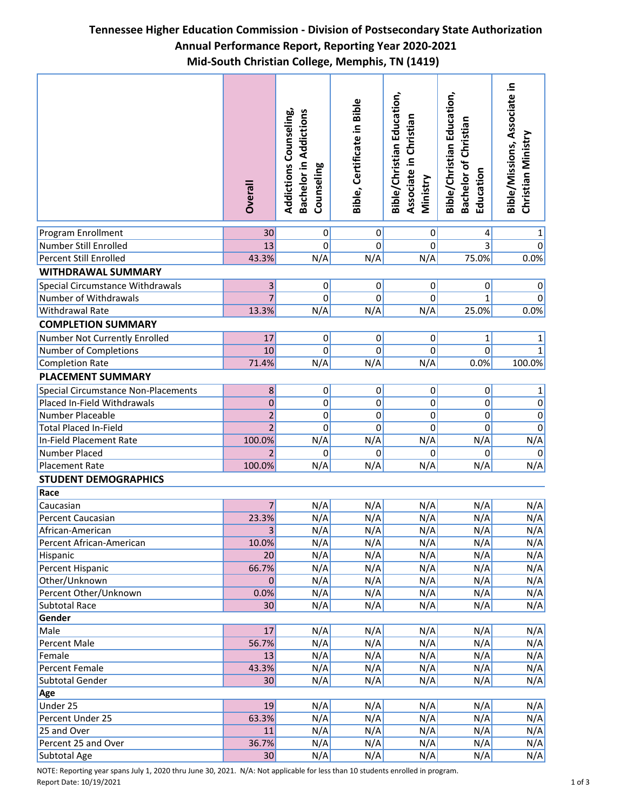## **Tennessee Higher Education Commission - Division of Postsecondary State Authorization Annual Performance Report, Reporting Year 2020-2021 Mid-South Christian College, Memphis, TN (1419)**

|                                            | <b>Dverall</b>  | <b>Addictions Counseling,</b><br><b>Bachelor in Addictions</b><br>Counseling | Bible, Certificate in Bible | Bible/Christian Education,<br>Christian<br>Associate in<br>Ministry | <b>Bible/Christian Education,</b><br>Bachelor of Christian<br>Education | Bible/Missions, Associate in<br>Christian Ministry |  |  |
|--------------------------------------------|-----------------|------------------------------------------------------------------------------|-----------------------------|---------------------------------------------------------------------|-------------------------------------------------------------------------|----------------------------------------------------|--|--|
| Program Enrollment                         | 30              | $\overline{0}$                                                               | $\overline{0}$              | $\pmb{0}$                                                           | 4                                                                       | 1                                                  |  |  |
| Number Still Enrolled                      | 13              | 0                                                                            | $\Omega$                    | $\Omega$                                                            | $\overline{3}$                                                          | $\mathbf 0$                                        |  |  |
| <b>Percent Still Enrolled</b>              | 43.3%           | N/A                                                                          | N/A                         | N/A                                                                 | 75.0%                                                                   | 0.0%                                               |  |  |
| <b>WITHDRAWAL SUMMARY</b>                  |                 |                                                                              |                             |                                                                     |                                                                         |                                                    |  |  |
| Special Circumstance Withdrawals           | $\mathsf{3}$    | 0                                                                            | 0                           | $\pmb{0}$                                                           | 0                                                                       | $\overline{0}$                                     |  |  |
| Number of Withdrawals                      | $\overline{7}$  | 0                                                                            | $\Omega$                    | 0                                                                   | 1                                                                       | 0                                                  |  |  |
| Withdrawal Rate                            | 13.3%           | N/A                                                                          | N/A                         | N/A                                                                 | 25.0%                                                                   | 0.0%                                               |  |  |
| <b>COMPLETION SUMMARY</b>                  |                 |                                                                              |                             |                                                                     |                                                                         |                                                    |  |  |
| Number Not Currently Enrolled              | 17              | $\overline{0}$                                                               | $\overline{0}$              | $\mathbf 0$                                                         | $\mathbf{1}$                                                            | 1                                                  |  |  |
| Number of Completions                      | 10              | 0                                                                            | $\Omega$                    | $\Omega$                                                            | $\mathbf 0$                                                             | $\mathbf{1}$                                       |  |  |
| <b>Completion Rate</b>                     | 71.4%           | N/A                                                                          | N/A                         | N/A                                                                 | 0.0%                                                                    | 100.0%                                             |  |  |
| <b>PLACEMENT SUMMARY</b>                   |                 |                                                                              |                             |                                                                     |                                                                         |                                                    |  |  |
| <b>Special Circumstance Non-Placements</b> | 8               | $\mathbf{0}$                                                                 | 0                           | $\pmb{0}$                                                           | $\pmb{0}$                                                               | 1                                                  |  |  |
| Placed In-Field Withdrawals                | $\mathbf 0$     | 0                                                                            | 0                           | $\mathbf 0$                                                         | 0                                                                       | $\overline{0}$                                     |  |  |
| Number Placeable                           | $\overline{2}$  | $\mathbf 0$                                                                  | 0                           | 0                                                                   | 0                                                                       | $\overline{0}$                                     |  |  |
| <b>Total Placed In-Field</b>               | $\overline{2}$  | $\mathbf 0$                                                                  | 0                           | 0                                                                   | 0                                                                       | $\mathbf 0$                                        |  |  |
| In-Field Placement Rate                    | 100.0%          | N/A                                                                          | N/A                         | N/A                                                                 | N/A                                                                     | N/A                                                |  |  |
| Number Placed                              | $\overline{2}$  | 0                                                                            | 0                           | 0                                                                   | 0                                                                       | $\overline{0}$                                     |  |  |
| Placement Rate                             | 100.0%          | N/A                                                                          | N/A                         | N/A                                                                 | N/A                                                                     | N/A                                                |  |  |
| <b>STUDENT DEMOGRAPHICS</b>                |                 |                                                                              |                             |                                                                     |                                                                         |                                                    |  |  |
| Race                                       |                 |                                                                              |                             |                                                                     |                                                                         |                                                    |  |  |
| Caucasian                                  | $\overline{7}$  | N/A                                                                          | N/A                         | N/A                                                                 | N/A                                                                     | N/A                                                |  |  |
| Percent Caucasian                          | 23.3%           | N/A                                                                          | N/A                         | N/A                                                                 | N/A                                                                     | N/A                                                |  |  |
| African-American                           | $\vert 3 \vert$ | N/A                                                                          | N/A                         | N/A                                                                 | N/A                                                                     | N/A                                                |  |  |
| Percent African-American                   | 10.0%           | N/A                                                                          | N/A                         | N/A                                                                 | N/A                                                                     | N/A                                                |  |  |
| Hispanic                                   | 20              | N/A                                                                          | N/A                         | N/A                                                                 | N/A                                                                     | N/A                                                |  |  |
| Percent Hispanic                           | 66.7%           | N/A                                                                          | N/A                         | N/A                                                                 | N/A                                                                     | N/A                                                |  |  |
| Other/Unknown                              | 0               | N/A                                                                          | N/A                         | N/A                                                                 | N/A                                                                     | N/A                                                |  |  |
| Percent Other/Unknown                      | 0.0%            | N/A                                                                          | N/A                         | N/A                                                                 | N/A                                                                     | N/A                                                |  |  |
| <b>Subtotal Race</b>                       | 30              | N/A                                                                          | N/A                         | N/A                                                                 | N/A                                                                     | N/A                                                |  |  |
| Gender                                     |                 |                                                                              |                             |                                                                     |                                                                         |                                                    |  |  |
| Male                                       | 17              | N/A                                                                          | N/A                         | N/A                                                                 | N/A                                                                     | N/A                                                |  |  |
| Percent Male                               | 56.7%           | N/A                                                                          | N/A                         | N/A                                                                 | N/A                                                                     | N/A                                                |  |  |
| Female                                     | 13              | N/A                                                                          | N/A                         | N/A                                                                 | N/A                                                                     | N/A                                                |  |  |
| Percent Female                             | 43.3%           | N/A                                                                          | N/A                         | N/A                                                                 | N/A                                                                     | N/A                                                |  |  |
| Subtotal Gender                            | 30              | N/A                                                                          | N/A                         | N/A                                                                 | N/A                                                                     | N/A                                                |  |  |
| Age                                        |                 |                                                                              |                             |                                                                     |                                                                         |                                                    |  |  |
| Under 25                                   | 19              | N/A                                                                          | N/A                         | N/A                                                                 | N/A                                                                     | N/A                                                |  |  |
| Percent Under 25                           | 63.3%           | N/A                                                                          | N/A                         | N/A                                                                 | N/A                                                                     | N/A                                                |  |  |
| 25 and Over                                | 11              | N/A                                                                          | N/A                         | N/A                                                                 | N/A                                                                     | N/A                                                |  |  |
| Percent 25 and Over                        | 36.7%           | N/A                                                                          | N/A                         | N/A                                                                 | N/A                                                                     | N/A                                                |  |  |
| Subtotal Age                               | 30              | N/A                                                                          | N/A                         | N/A                                                                 | N/A                                                                     | N/A                                                |  |  |

NOTE: Reporting year spans July 1, 2020 thru June 30, 2021. N/A: Not applicable for less than 10 students enrolled in program. Report Date: 10/19/2021 1 of 3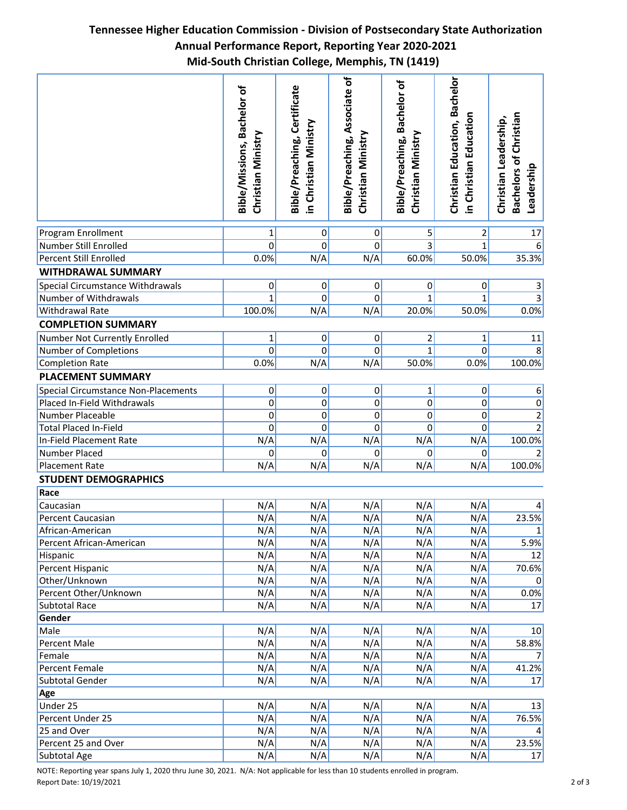## **Tennessee Higher Education Commission - Division of Postsecondary State Authorization Annual Performance Report, Reporting Year 2020-2021 Mid-South Christian College, Memphis, TN (1419)**

|                                            | Bible/Missions, Bachelor of<br>Christian Ministry | Bible/Preaching, Certificate<br>in Christian Ministry | Bible/Preaching, Associate of<br>Christian Ministry | Bible/Preaching, Bachelor of<br>Christian Ministry | <b>Christian Education, Bachelor</b><br>in Christian Education | <b>Bachelors of Christian</b><br>Christian Leadership,<br>Leadership |
|--------------------------------------------|---------------------------------------------------|-------------------------------------------------------|-----------------------------------------------------|----------------------------------------------------|----------------------------------------------------------------|----------------------------------------------------------------------|
| Program Enrollment                         | 1                                                 | $\overline{0}$                                        | $\pmb{0}$                                           | 5                                                  | $\overline{2}$                                                 | 17                                                                   |
| Number Still Enrolled                      | $\mathbf 0$                                       | 0                                                     | 0                                                   | 3                                                  | 1                                                              | 6                                                                    |
| <b>Percent Still Enrolled</b>              | 0.0%                                              | N/A                                                   | N/A                                                 | 60.0%                                              | 50.0%                                                          | 35.3%                                                                |
| <b>WITHDRAWAL SUMMARY</b>                  |                                                   |                                                       |                                                     |                                                    |                                                                |                                                                      |
| Special Circumstance Withdrawals           | $\pmb{0}$                                         | $\mathbf{0}$                                          | $\sigma$                                            | $\overline{0}$                                     | $\pmb{0}$                                                      | $\mathsf 3$                                                          |
| Number of Withdrawals                      | $\mathbf{1}$                                      | 0                                                     | 0                                                   | 1                                                  | 1                                                              |                                                                      |
| <b>Withdrawal Rate</b>                     | 100.0%                                            | N/A                                                   | N/A                                                 | 20.0%                                              | 50.0%                                                          | 0.0%                                                                 |
| <b>COMPLETION SUMMARY</b>                  |                                                   |                                                       |                                                     |                                                    |                                                                |                                                                      |
| Number Not Currently Enrolled              | 1                                                 | $\overline{0}$                                        | 0                                                   | 2                                                  | $\mathbf{1}$                                                   | 11                                                                   |
| Number of Completions                      | $\mathbf 0$                                       | 0                                                     | 0                                                   | 1                                                  | 0                                                              | 8                                                                    |
| <b>Completion Rate</b>                     | 0.0%                                              | N/A                                                   | N/A                                                 | 50.0%                                              | 0.0%                                                           | 100.0%                                                               |
| <b>PLACEMENT SUMMARY</b>                   |                                                   |                                                       |                                                     |                                                    |                                                                |                                                                      |
| <b>Special Circumstance Non-Placements</b> | $\pmb{0}$                                         | $\mathbf 0$                                           | $\overline{0}$                                      | $\mathbf{1}$                                       | 0                                                              | 6                                                                    |
| Placed In-Field Withdrawals                | $\mathbf 0$                                       | 0                                                     | 0                                                   | 0                                                  | 0                                                              | $\overline{0}$                                                       |
| Number Placeable                           | $\mathbf 0$                                       | 0                                                     | 0                                                   | 0                                                  | 0                                                              | $\overline{2}$                                                       |
| <b>Total Placed In-Field</b>               | 0                                                 | 0                                                     | 0                                                   | 0                                                  | $\mathbf 0$                                                    | $\overline{2}$                                                       |
| In-Field Placement Rate                    | N/A                                               | N/A                                                   | N/A                                                 | N/A                                                | N/A                                                            | 100.0%                                                               |
| Number Placed                              | 0                                                 | 0                                                     | 0                                                   | $\Omega$                                           | 0                                                              | $\mathcal{P}$                                                        |
| <b>Placement Rate</b>                      | N/A                                               | N/A                                                   | N/A                                                 | N/A                                                | N/A                                                            | 100.0%                                                               |
| <b>STUDENT DEMOGRAPHICS</b>                |                                                   |                                                       |                                                     |                                                    |                                                                |                                                                      |
| Race                                       |                                                   |                                                       |                                                     |                                                    |                                                                |                                                                      |
| Caucasian                                  | N/A                                               | N/A                                                   | N/A                                                 | N/A                                                | N/A                                                            |                                                                      |
| Percent Caucasian                          | N/A                                               | N/A                                                   | N/A                                                 | N/A                                                | N/A                                                            | 23.5%                                                                |
| African-American                           | N/A                                               | N/A                                                   | N/A                                                 | N/A                                                | N/A                                                            | $1\vert$                                                             |
| Percent African-American                   | N/A                                               | N/A                                                   | N/A                                                 | N/A                                                | N/A                                                            | 5.9%                                                                 |
| Hispanic                                   | N/A                                               | N/A                                                   | N/A                                                 | N/A                                                | N/A                                                            | 12                                                                   |
| Percent Hispanic                           | N/A                                               | N/A                                                   | N/A                                                 | N/A                                                | N/A                                                            | 70.6%                                                                |
| Other/Unknown                              | N/A                                               | N/A                                                   | N/A                                                 | N/A                                                | N/A                                                            | 0                                                                    |
| Percent Other/Unknown                      | N/A                                               | N/A                                                   | N/A                                                 | N/A                                                | N/A                                                            | 0.0%                                                                 |
| <b>Subtotal Race</b>                       | N/A                                               | N/A                                                   | N/A                                                 | N/A                                                | N/A                                                            | 17                                                                   |
| Gender                                     |                                                   |                                                       |                                                     |                                                    |                                                                |                                                                      |
| Male                                       | N/A                                               | N/A                                                   | N/A                                                 | N/A                                                | N/A                                                            | 10                                                                   |
| Percent Male                               | N/A                                               | N/A                                                   | N/A                                                 | N/A                                                | N/A                                                            | 58.8%                                                                |
| Female                                     | N/A                                               | N/A                                                   | N/A                                                 | N/A                                                | N/A                                                            |                                                                      |
| Percent Female                             | N/A                                               | N/A                                                   | N/A                                                 | N/A                                                | N/A                                                            | 41.2%                                                                |
| Subtotal Gender                            | N/A                                               | N/A                                                   | N/A                                                 | N/A                                                | N/A                                                            | 17                                                                   |
| Age                                        |                                                   |                                                       |                                                     |                                                    |                                                                |                                                                      |
| Under 25                                   | N/A                                               | N/A                                                   | N/A                                                 | N/A                                                | N/A                                                            | 13                                                                   |
| Percent Under 25<br>25 and Over            | N/A<br>N/A                                        | N/A<br>N/A                                            | N/A<br>N/A                                          | N/A<br>N/A                                         | N/A<br>N/A                                                     | 76.5%                                                                |
| Percent 25 and Over                        | N/A                                               | N/A                                                   | N/A                                                 | N/A                                                | N/A                                                            | 23.5%                                                                |
| Subtotal Age                               | N/A                                               | N/A                                                   | N/A                                                 | N/A                                                | N/A                                                            | 17                                                                   |
|                                            |                                                   |                                                       |                                                     |                                                    |                                                                |                                                                      |

NOTE: Reporting year spans July 1, 2020 thru June 30, 2021. N/A: Not applicable for less than 10 students enrolled in program. Report Date: 10/19/2021 2 of 3